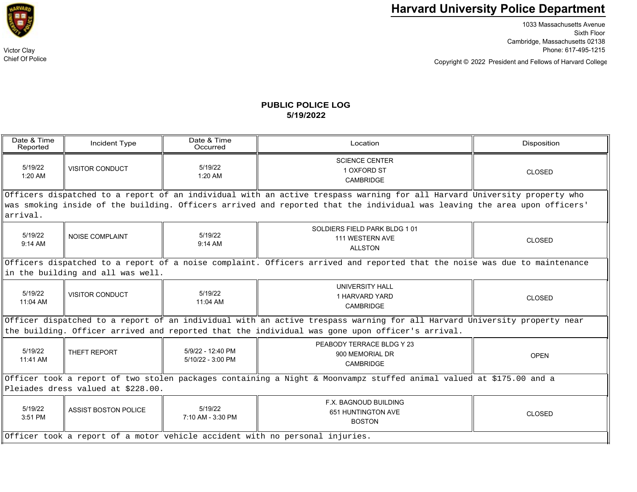

Chief Of Police

## **Harvard University Police Department**

1033 Massachusetts Avenue Sixth Floor Cambridge, Massachusetts 02138 Victor Clay Phone: 617-495-1215

Copyright © President and Fellows of Harvard College 2022

## **PUBLIC POLICE LOG5/19/2022**

| Date & Time<br>Reported                                                                                                                                                                                                     | Incident Type               | Date & Time<br>Occurred                | Location                                                          | Disposition   |  |  |  |
|-----------------------------------------------------------------------------------------------------------------------------------------------------------------------------------------------------------------------------|-----------------------------|----------------------------------------|-------------------------------------------------------------------|---------------|--|--|--|
| 5/19/22<br>$1:20$ AM                                                                                                                                                                                                        | <b>VISITOR CONDUCT</b>      | 5/19/22<br>$1:20$ AM                   | <b>SCIENCE CENTER</b><br>1 OXFORD ST<br><b>CAMBRIDGE</b>          | <b>CLOSED</b> |  |  |  |
| Officers dispatched to a report of an individual with an active trespass warning for all Harvard University property who                                                                                                    |                             |                                        |                                                                   |               |  |  |  |
| was smoking inside of the building. Officers arrived and reported that the individual was leaving the area upon officers'<br>arrival.                                                                                       |                             |                                        |                                                                   |               |  |  |  |
| 5/19/22<br>$9:14$ AM                                                                                                                                                                                                        | <b>NOISE COMPLAINT</b>      | 5/19/22<br>$9:14$ AM                   | SOLDIERS FIELD PARK BLDG 101<br>111 WESTERN AVE<br><b>ALLSTON</b> | <b>CLOSED</b> |  |  |  |
| Officers dispatched to a report of a noise complaint. Officers arrived and reported that the noise was due to maintenance<br>in the building and all was well.                                                              |                             |                                        |                                                                   |               |  |  |  |
| 5/19/22<br>11:04 AM                                                                                                                                                                                                         | <b>VISITOR CONDUCT</b>      | 5/19/22<br>11:04 AM                    | <b>UNIVERSITY HALL</b><br>1 HARVARD YARD<br>CAMBRIDGE             | <b>CLOSED</b> |  |  |  |
| Officer dispatched to a report of an individual with an active trespass warning for all Harvard University property near<br>the building. Officer arrived and reported that the individual was gone upon officer's arrival. |                             |                                        |                                                                   |               |  |  |  |
| 5/19/22<br>11:41 AM                                                                                                                                                                                                         | THEFT REPORT                | 5/9/22 - 12:40 PM<br>5/10/22 - 3:00 PM | PEABODY TERRACE BLDG Y 23<br>900 MEMORIAL DR<br><b>CAMBRIDGE</b>  | <b>OPEN</b>   |  |  |  |
| Officer took a report of two stolen packages containing a Night & Moonvampz stuffed animal valued at \$175.00 and a                                                                                                         |                             |                                        |                                                                   |               |  |  |  |
| Pleiades dress valued at \$228.00.                                                                                                                                                                                          |                             |                                        |                                                                   |               |  |  |  |
| 5/19/22<br>3:51 PM                                                                                                                                                                                                          | <b>ASSIST BOSTON POLICE</b> | 5/19/22<br>7:10 AM - 3:30 PM           | F.X. BAGNOUD BUILDING<br>651 HUNTINGTON AVE<br><b>BOSTON</b>      | <b>CLOSED</b> |  |  |  |
| Officer took a report of a motor vehicle accident with no personal injuries.                                                                                                                                                |                             |                                        |                                                                   |               |  |  |  |